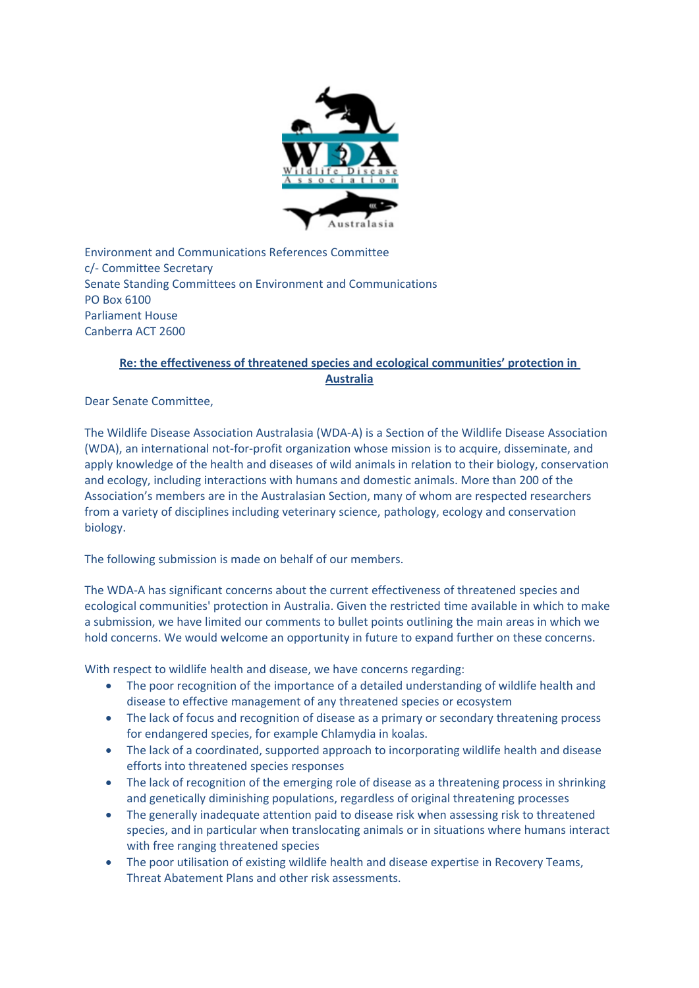

Environment and Communications References Committee c/- Committee Secretary Senate Standing Committees on Environment and Communications PO Box 6100 Parliament House Canberra ACT 2600

## **Re: the effectiveness of threatened species and ecological communities' protection in Australia**

Dear Senate Committee,

The Wildlife Disease Association Australasia (WDA-A) is a Section of the Wildlife Disease Association (WDA), an international not-for-profit organization whose mission is to acquire, disseminate, and apply knowledge of the health and diseases of wild animals in relation to their biology, conservation and ecology, including interactions with humans and domestic animals. More than 200 of the Association's members are in the Australasian Section, many of whom are respected researchers from a variety of disciplines including veterinary science, pathology, ecology and conservation biology.

The following submission is made on behalf of our members.

The WDA-A has significant concerns about the current effectiveness of threatened species and ecological communities' protection in Australia. Given the restricted time available in which to make a submission, we have limited our comments to bullet points outlining the main areas in which we hold concerns. We would welcome an opportunity in future to expand further on these concerns.

With respect to wildlife health and disease, we have concerns regarding:

- The poor recognition of the importance of a detailed understanding of wildlife health and disease to effective management of any threatened species or ecosystem
- The lack of focus and recognition of disease as a primary or secondary threatening process for endangered species, for example Chlamydia in koalas.
- The lack of a coordinated, supported approach to incorporating wildlife health and disease efforts into threatened species responses
- The lack of recognition of the emerging role of disease as a threatening process in shrinking and genetically diminishing populations, regardless of original threatening processes
- The generally inadequate attention paid to disease risk when assessing risk to threatened species, and in particular when translocating animals or in situations where humans interact with free ranging threatened species
- The poor utilisation of existing wildlife health and disease expertise in Recovery Teams, Threat Abatement Plans and other risk assessments.